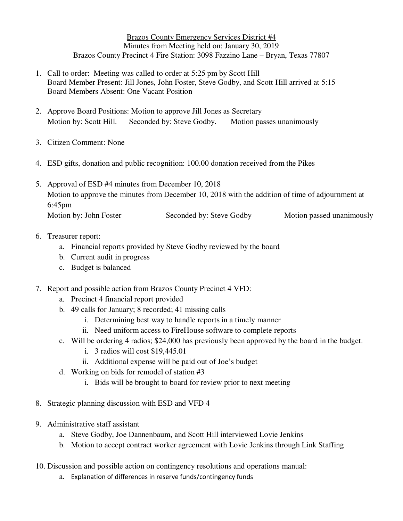Brazos County Emergency Services District #4 Minutes from Meeting held on: January 30, 2019 Brazos County Precinct 4 Fire Station: 3098 Fazzino Lane – Bryan, Texas 77807

- 1. Call to order: Meeting was called to order at 5:25 pm by Scott Hill Board Member Present: Jill Jones, John Foster, Steve Godby, and Scott Hill arrived at 5:15 Board Members Absent: One Vacant Position
- 2. Approve Board Positions: Motion to approve Jill Jones as Secretary Motion by: Scott Hill. Seconded by: Steve Godby. Motion passes unanimously
- 3. Citizen Comment: None
- 4. ESD gifts, donation and public recognition: 100.00 donation received from the Pikes
- 5. Approval of ESD #4 minutes from December 10, 2018 Motion to approve the minutes from December 10, 2018 with the addition of time of adjournment at 6:45pm Motion by: John Foster Seconded by: Steve Godby Motion passed unanimously

## 6. Treasurer report:

- a. Financial reports provided by Steve Godby reviewed by the board
- b. Current audit in progress
- c. Budget is balanced
- 7. Report and possible action from Brazos County Precinct 4 VFD:
	- a. Precinct 4 financial report provided
	- b. 49 calls for January; 8 recorded; 41 missing calls
		- i. Determining best way to handle reports in a timely manner
		- ii. Need uniform access to FireHouse software to complete reports
	- c. Will be ordering 4 radios; \$24,000 has previously been approved by the board in the budget.
		- i. 3 radios will cost \$19,445.01
		- ii. Additional expense will be paid out of Joe's budget
	- d. Working on bids for remodel of station #3
		- i. Bids will be brought to board for review prior to next meeting
- 8. Strategic planning discussion with ESD and VFD 4
- 9. Administrative staff assistant
	- a. Steve Godby, Joe Dannenbaum, and Scott Hill interviewed Lovie Jenkins
	- b. Motion to accept contract worker agreement with Lovie Jenkins through Link Staffing
- 10. Discussion and possible action on contingency resolutions and operations manual:
	- a. Explanation of differences in reserve funds/contingency funds